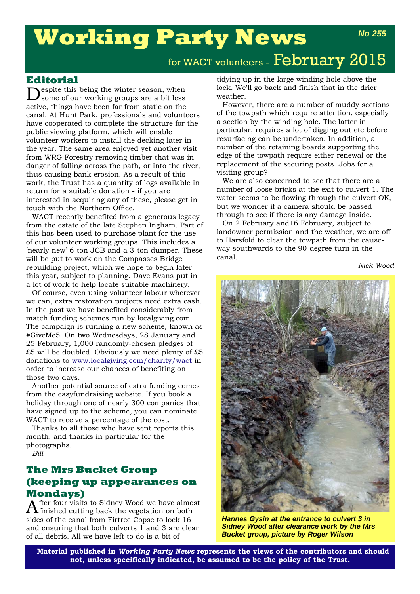# **Working Party News**

# **Editorial**

**N**espite this being the winter season, when some of our working groups are a bit less active, things have been far from static on the canal. At Hunt Park, professionals and volunteers have cooperated to complete the structure for the public viewing platform, which will enable volunteer workers to install the decking later in the year. The same area enjoyed yet another visit from WRG Forestry removing timber that was in danger of falling across the path, or into the river, thus causing bank erosion. As a result of this work, the Trust has a quantity of logs available in return for a suitable donation - if you are interested in acquiring any of these, please get in touch with the Northern Office.

WACT recently benefited from a generous legacy from the estate of the late Stephen Ingham. Part of this has been used to purchase plant for the use of our volunteer working groups. This includes a 'nearly new' 6-ton JCB and a 3-ton dumper. These will be put to work on the Compasses Bridge rebuilding project, which we hope to begin later this year, subject to planning. Dave Evans put in a lot of work to help locate suitable machinery.

Of course, even using volunteer labour wherever we can, extra restoration projects need extra cash. In the past we have benefited considerably from match funding schemes run by localgiving.com. The campaign is running a new scheme, known as #GiveMe5. On two Wednesdays, 28 January and 25 February, 1,000 randomly-chosen pledges of  $£5$  will be doubled. Obviously we need plenty of £5 donations to www.localgiving.com/charity/wact in order to increase our chances of benefiting on those two days.

Another potential source of extra funding comes from the easyfundraising website. If you book a holiday through one of nearly 300 companies that have signed up to the scheme, you can nominate WACT to receive a percentage of the cost.

Thanks to all those who have sent reports this month, and thanks in particular for the photographs.

*Bill*

# **The Mrs Bucket Group (keeping up appearances on Mondays)**

After four visits to Sidney Wood we have almost finished cutting back the vegetation on both sides of the canal from Firtree Copse to lock 16 and ensuring that both culverts 1 and 3 are clear of all debris. All we have left to do is a bit of

tidying up in the large winding hole above the lock. We'll go back and finish that in the drier weather.

However, there are a number of muddy sections of the towpath which require attention, especially a section by the winding hole. The latter in particular, requires a lot of digging out etc before resurfacing can be undertaken. In addition, a number of the retaining boards supporting the edge of the towpath require either renewal or the replacement of the securing posts. Jobs for a visiting group?

We are also concerned to see that there are a number of loose bricks at the exit to culvert 1. The water seems to be flowing through the culvert OK, but we wonder if a camera should be passed through to see if there is any damage inside.

On 2 February and16 February, subject to landowner permission and the weather, we are off to Harsfold to clear the towpath from the causeway southwards to the 90-degree turn in the canal.

*Nick Wood* 

*No 255*



*Hannes Gysin at the entrance to culvert 3 in Sidney Wood after clearance work by the Mrs Bucket group, picture by Roger Wilson*

**Material published in** *Working Party News* **represents the views of the contributors and should not, unless specifically indicated, be assumed to be the policy of the Trust.**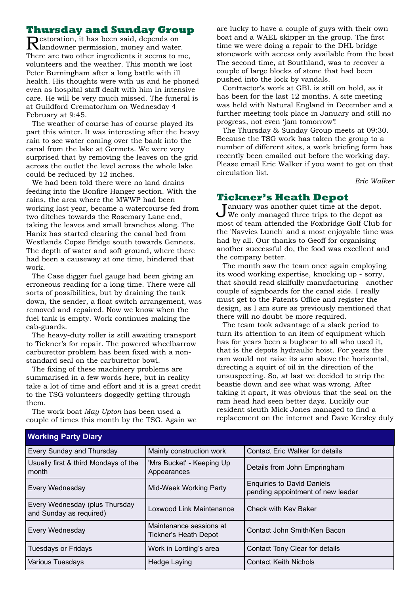# **Thursday and Sunday Group**

Restoration, it has been said, depends on landowner permission, money and water. There are two other ingredients it seems to me, volunteers and the weather. This month we lost Peter Burningham after a long battle with ill health. His thoughts were with us and he phoned even as hospital staff dealt with him in intensive care. He will be very much missed. The funeral is at Guildford Crematorium on Wednesday 4 February at 9:45.

The weather of course has of course played its part this winter. It was interesting after the heavy rain to see water coming over the bank into the canal from the lake at Gennets. We were very surprised that by removing the leaves on the grid across the outlet the level across the whole lake could be reduced by 12 inches.

We had been told there were no land drains feeding into the Bonfire Hanger section. With the rains, the area where the MWWP had been working last year, became a watercourse fed from two ditches towards the Rosemary Lane end, taking the leaves and small branches along. The Hanix has started clearing the canal bed from Westlands Copse Bridge south towards Gennets. The depth of water and soft ground, where there had been a causeway at one time, hindered that work.

The Case digger fuel gauge had been giving an erroneous reading for a long time. There were all sorts of possibilities, but by draining the tank down, the sender, a float switch arrangement, was removed and repaired. Now we know when the fuel tank is empty. Work continues making the cab-guards.

The heavy-duty roller is still awaiting transport to Tickner's for repair. The powered wheelbarrow carburettor problem has been fixed with a nonstandard seal on the carburettor bowl.

The fixing of these machinery problems are summarised in a few words here, but in reality take a lot of time and effort and it is a great credit to the TSG volunteers doggedly getting through them.

The work boat *May Upton* has been used a couple of times this month by the TSG. Again we

are lucky to have a couple of guys with their own boat and a WAEL skipper in the group. The first time we were doing a repair to the DHL bridge stonework with access only available from the boat The second time, at Southland, was to recover a couple of large blocks of stone that had been pushed into the lock by vandals.

Contractor's work at GBL is still on hold, as it has been for the last 12 months. A site meeting was held with Natural England in December and a further meeting took place in January and still no progress, not even 'jam tomorrow'!

The Thursday & Sunday Group meets at 09:30. Because the TSG work has taken the group to a number of different sites, a work briefing form has recently been emailed out before the working day. Please email Eric Walker if you want to get on that circulation list.

*Eric Walker*

## **Tickner's Heath Depot**

January was another quiet time at the depot.<br>We only managed three trips to the depot as most of team attended the Foxbridge Golf Club for the 'Navvies Lunch' and a most enjoyable time was had by all. Our thanks to Geoff for organising another successful do, the food was excellent and the company better.

The month saw the team once again employing its wood working expertise, knocking up - sorry, that should read skilfully manufacturing - another couple of signboards for the canal side. I really must get to the Patents Office and register the design, as I am sure as previously mentioned that there will no doubt be more required.

The team took advantage of a slack period to turn its attention to an item of equipment which has for years been a bugbear to all who used it, that is the depots hydraulic hoist. For years the ram would not raise its arm above the horizontal, directing a squirt of oil in the direction of the unsuspecting. So, at last we decided to strip the beastie down and see what was wrong. After taking it apart, it was obvious that the seal on the ram head had seen better days. Luckily our resident sleuth Mick Jones managed to find a replacement on the internet and Dave Kersley duly

| $\cdots$                                                  |                                                  |                                                                        |
|-----------------------------------------------------------|--------------------------------------------------|------------------------------------------------------------------------|
| Every Sunday and Thursday                                 | Mainly construction work                         | <b>Contact Eric Walker for details</b>                                 |
| Usually first & third Mondays of the<br>month             | 'Mrs Bucket' - Keeping Up<br>Appearances         | Details from John Empringham                                           |
| Every Wednesday                                           | Mid-Week Working Party                           | <b>Enquiries to David Daniels</b><br>pending appointment of new leader |
| Every Wednesday (plus Thursday<br>and Sunday as required) | Loxwood Link Maintenance                         | Check with Key Baker                                                   |
| Every Wednesday                                           | Maintenance sessions at<br>Tickner's Heath Depot | Contact John Smith/Ken Bacon                                           |
| <b>Tuesdays or Fridays</b>                                | Work in Lording's area                           | Contact Tony Clear for details                                         |
| Various Tuesdays                                          | Hedge Laying                                     | <b>Contact Keith Nichols</b>                                           |
|                                                           |                                                  |                                                                        |

#### **Working Party Diary**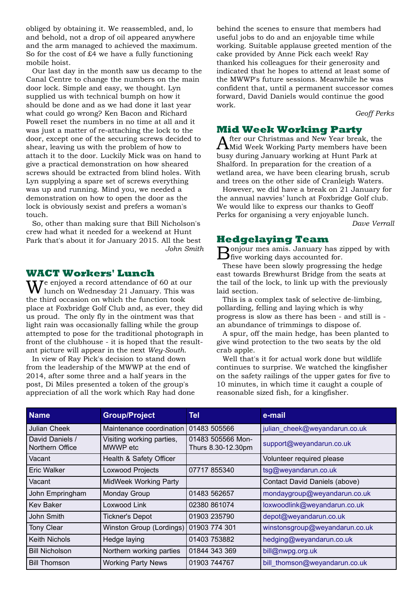obliged by obtaining it. We reassembled, and, lo and behold, not a drop of oil appeared anywhere and the arm managed to achieved the maximum. So for the cost of  $\pounds 4$  we have a fully functioning mobile hoist.

Our last day in the month saw us decamp to the Canal Centre to change the numbers on the main door lock. Simple and easy, we thought. Lyn supplied us with technical bumph on how it should be done and as we had done it last year what could go wrong? Ken Bacon and Richard Powell reset the numbers in no time at all and it was just a matter of re-attaching the lock to the door, except one of the securing screws decided to shear, leaving us with the problem of how to attach it to the door. Luckily Mick was on hand to give a practical demonstration on how sheared screws should be extracted from blind holes. With Lyn supplying a spare set of screws everything was up and running. Mind you, we needed a demonstration on how to open the door as the lock is obviously sexist and prefers a woman's touch.

So, other than making sure that Bill Nicholson's crew had what it needed for a weekend at Hunt Park that's about it for January 2015. All the best *John Smith*

## **WACT Workers' Lunch**

**T**e enjoyed a record attendance of 60 at our lunch on Wednesday 21 January. This was the third occasion on which the function took place at Foxbridge Golf Club and, as ever, they did us proud. The only fly in the ointment was that light rain was occasionally falling while the group attempted to pose for the traditional photograph in front of the clubhouse - it is hoped that the resultant picture will appear in the next *Wey-South*.

In view of Ray Pick's decision to stand down from the leadership of the MWWP at the end of 2014, after some three and a half years in the post, Di Miles presented a token of the group's appreciation of all the work which Ray had done

behind the scenes to ensure that members had useful jobs to do and an enjoyable time while working. Suitable applause greeted mention of the cake provided by Anne Pick each week! Ray thanked his colleagues for their generosity and indicated that he hopes to attend at least some of the MWWP's future sessions. Meanwhile he was confident that, until a permanent successor comes forward, David Daniels would continue the good work.

*Geoff Perks*

# **Mid Week Working Party**

After our Christmas and New Year break, the Mid Week Working Party members have been busy during January working at Hunt Park at Shalford. In preparation for the creation of a wetland area, we have been clearing brush, scrub and trees on the other side of Cranleigh Waters.

However, we did have a break on 21 January for the annual navvies' lunch at Foxbridge Golf club. We would like to express our thanks to Geoff Perks for organising a very enjoyable lunch.

*Dave Verrall*

# **Hedgelaying Team**

Bonjour mes amis. January has zipped by with five working days accounted for.

These have been slowly progressing the hedge east towards Brewhurst Bridge from the seats at the tail of the lock, to link up with the previously laid section.

This is a complex task of selective de-limbing, pollarding, felling and laying which is why progress is slow as there has been - and still is an abundance of trimmings to dispose of.

A spur, off the main hedge, has been planted to give wind protection to the two seats by the old crab apple.

Well that's it for actual work done but wildlife continues to surprise. We watched the kingfisher on the safety railings of the upper gates for five to 10 minutes, in which time it caught a couple of reasonable sized fish, for a kingfisher.

| <b>Name</b>                        | <b>Group/Project</b>                  | Tel                                     | e-mail                         |
|------------------------------------|---------------------------------------|-----------------------------------------|--------------------------------|
| Julian Cheek                       | Maintenance coordination              | 01483 505566                            | julian cheek@weyandarun.co.uk  |
| David Daniels /<br>Northern Office | Visiting working parties,<br>MWWP etc | 01483 505566 Mon-<br>Thurs 8.30-12.30pm | support@weyandarun.co.uk       |
| Vacant                             | Health & Safety Officer               |                                         | Volunteer required please      |
| Eric Walker                        | <b>Loxwood Projects</b>               | 07717 855340                            | tsg@weyandarun.co.uk           |
| Vacant                             | <b>MidWeek Working Party</b>          |                                         | Contact David Daniels (above)  |
| John Empringham                    | Monday Group                          | 01483 562657                            | mondaygroup@weyandarun.co.uk   |
| <b>Kev Baker</b>                   | Loxwood Link                          | 02380 861074                            | loxwoodlink@weyandarun.co.uk   |
| John Smith                         | <b>Tickner's Depot</b>                | 01903 235790                            | depot@weyandarun.co.uk         |
| Tony Clear                         | Winston Group (Lordings)              | 01903 774 301                           | winstonsgroup@weyandarun.co.uk |
| <b>Keith Nichols</b>               | Hedge laying                          | 01403 753882                            | hedging@weyandarun.co.uk       |
| <b>Bill Nicholson</b>              | Northern working parties              | 01844 343 369                           | bill@nwpg.org.uk               |
| <b>Bill Thomson</b>                | <b>Working Party News</b>             | 01903 744767                            | bill thomson@weyandarun.co.uk  |